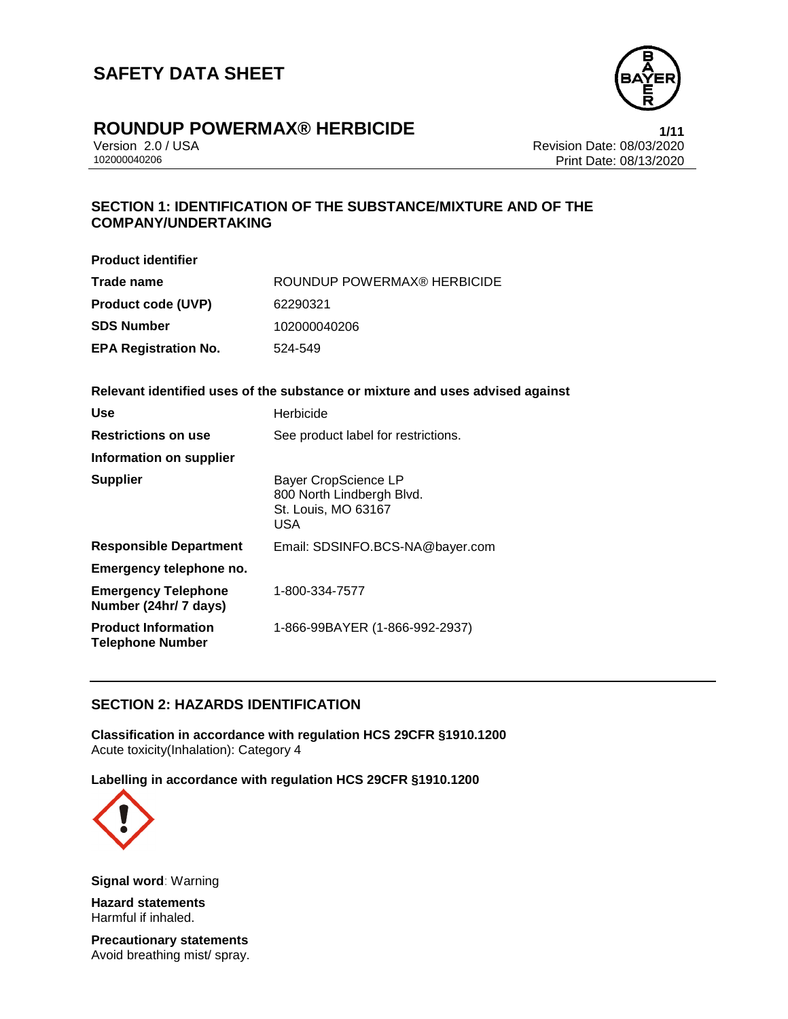

## **ROUNDUP POWERMAX® HERBICIDE 1/11**

Version 2.0 / USA Revision Date: 08/03/2020<br>102000040206 Print Date: 08/13/2020 Print Date: 08/13/2020

## **SECTION 1: IDENTIFICATION OF THE SUBSTANCE/MIXTURE AND OF THE COMPANY/UNDERTAKING**

| <b>Product identifier</b>   |                             |
|-----------------------------|-----------------------------|
| Trade name                  | ROUNDUP POWERMAX® HERBICIDE |
| <b>Product code (UVP)</b>   | 62290321                    |
| SDS Number                  | 102000040206                |
| <b>EPA Registration No.</b> | 524-549                     |

## **Relevant identified uses of the substance or mixture and uses advised against**

| <b>Use</b>                                            | Herbicide                                                                                     |
|-------------------------------------------------------|-----------------------------------------------------------------------------------------------|
| <b>Restrictions on use</b>                            | See product label for restrictions.                                                           |
| Information on supplier                               |                                                                                               |
| <b>Supplier</b>                                       | <b>Bayer CropScience LP</b><br>800 North Lindbergh Blvd.<br>St. Louis, MO 63167<br><b>USA</b> |
| <b>Responsible Department</b>                         | Email: SDSINFO.BCS-NA@bayer.com                                                               |
| Emergency telephone no.                               |                                                                                               |
| <b>Emergency Telephone</b><br>Number (24hr/ 7 days)   | 1-800-334-7577                                                                                |
| <b>Product Information</b><br><b>Telephone Number</b> | 1-866-99BAYER (1-866-992-2937)                                                                |

## **SECTION 2: HAZARDS IDENTIFICATION**

**Classification in accordance with regulation HCS 29CFR §1910.1200** Acute toxicity(Inhalation): Category 4

**Labelling in accordance with regulation HCS 29CFR §1910.1200**



**Signal word**: Warning

**Hazard statements** Harmful if inhaled.

**Precautionary statements** Avoid breathing mist/ spray.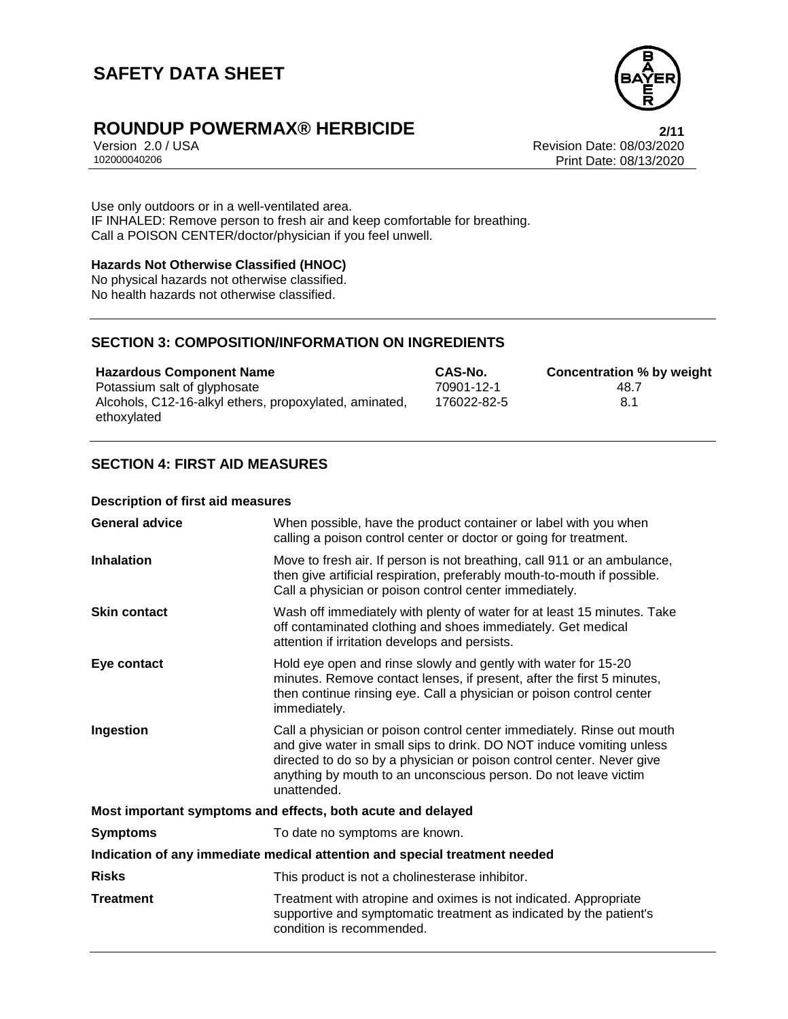

# **ROUNDUP POWERMAX® HERBICIDE**<br>Version 2.0 / USA **Property ACCOUNTED** Revision Date: 08/03/2020

Version 2.0 / USA Revision Date: 08/03/2020<br>102000040206 Print Date: 08/13/2020 Print Date: 08/13/2020

Use only outdoors or in a well-ventilated area. IF INHALED: Remove person to fresh air and keep comfortable for breathing. Call a POISON CENTER/doctor/physician if you feel unwell.

#### **Hazards Not Otherwise Classified (HNOC)**

No physical hazards not otherwise classified. No health hazards not otherwise classified.

### **SECTION 3: COMPOSITION/INFORMATION ON INGREDIENTS**

| <b>Hazardous Component Name</b>                        | CAS-No.     | Concentration % by weight |
|--------------------------------------------------------|-------------|---------------------------|
| Potassium salt of glyphosate                           | 70901-12-1  | 48.7                      |
| Alcohols, C12-16-alkyl ethers, propoxylated, aminated, | 176022-82-5 | 8.1                       |
| ethoxylated                                            |             |                           |

## **SECTION 4: FIRST AID MEASURES**

#### **Description of first aid measures**

| <b>General advice</b>                                                      | When possible, have the product container or label with you when<br>calling a poison control center or doctor or going for treatment.                                                                                                                                                                     |  |
|----------------------------------------------------------------------------|-----------------------------------------------------------------------------------------------------------------------------------------------------------------------------------------------------------------------------------------------------------------------------------------------------------|--|
| <b>Inhalation</b>                                                          | Move to fresh air. If person is not breathing, call 911 or an ambulance,<br>then give artificial respiration, preferably mouth-to-mouth if possible.<br>Call a physician or poison control center immediately.                                                                                            |  |
| <b>Skin contact</b>                                                        | Wash off immediately with plenty of water for at least 15 minutes. Take<br>off contaminated clothing and shoes immediately. Get medical<br>attention if irritation develops and persists.                                                                                                                 |  |
| Eye contact                                                                | Hold eye open and rinse slowly and gently with water for 15-20<br>minutes. Remove contact lenses, if present, after the first 5 minutes,<br>then continue rinsing eye. Call a physician or poison control center<br>immediately.                                                                          |  |
| Ingestion                                                                  | Call a physician or poison control center immediately. Rinse out mouth<br>and give water in small sips to drink. DO NOT induce vomiting unless<br>directed to do so by a physician or poison control center. Never give<br>anything by mouth to an unconscious person. Do not leave victim<br>unattended. |  |
| Most important symptoms and effects, both acute and delayed                |                                                                                                                                                                                                                                                                                                           |  |
| <b>Symptoms</b>                                                            | To date no symptoms are known.                                                                                                                                                                                                                                                                            |  |
| Indication of any immediate medical attention and special treatment needed |                                                                                                                                                                                                                                                                                                           |  |
| <b>Risks</b>                                                               | This product is not a cholinesterase inhibitor.                                                                                                                                                                                                                                                           |  |
| <b>Treatment</b>                                                           | Treatment with atropine and oximes is not indicated. Appropriate<br>supportive and symptomatic treatment as indicated by the patient's<br>condition is recommended.                                                                                                                                       |  |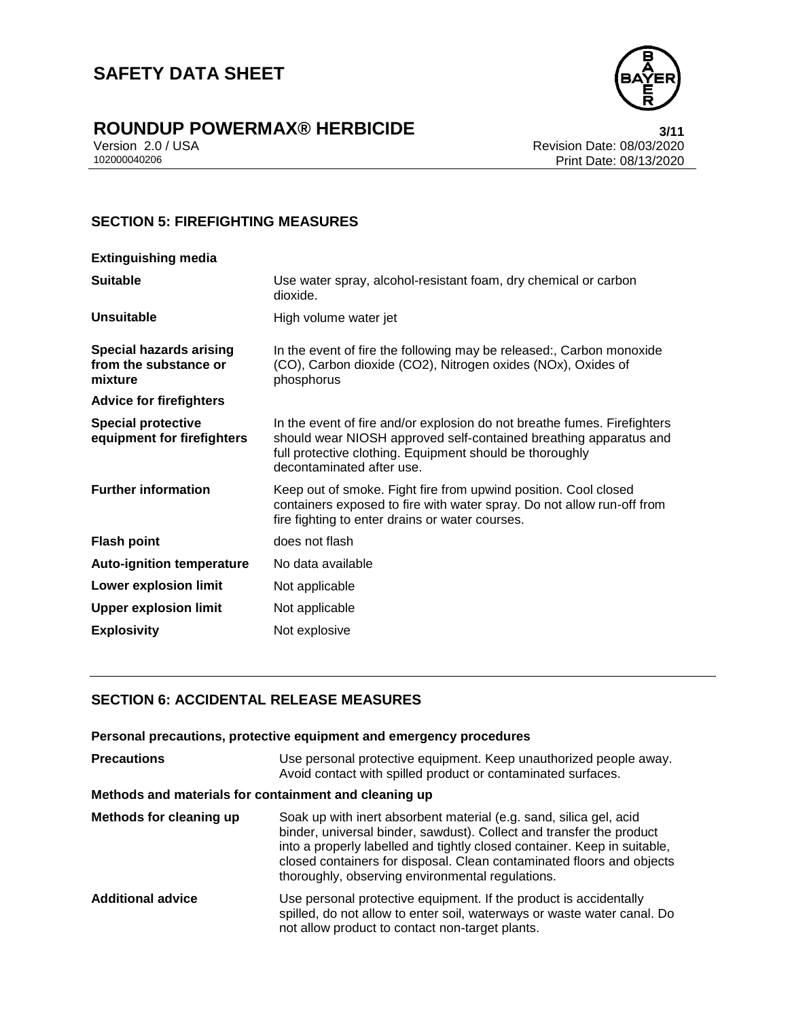

# **ROUNDUP POWERMAX® HERBICIDE**<br>Version 2.0 / USA **Property Access 198/03/2020**

Version 2.0 / USA Revision Date: 08/03/2020<br>102000040206 Print Date: 08/13/2020 Print Date: 08/13/2020

## **SECTION 5: FIREFIGHTING MEASURES**

| <b>Extinguishing media</b>                                         |                                                                                                                                                                                                                                        |
|--------------------------------------------------------------------|----------------------------------------------------------------------------------------------------------------------------------------------------------------------------------------------------------------------------------------|
| <b>Suitable</b>                                                    | Use water spray, alcohol-resistant foam, dry chemical or carbon<br>dioxide.                                                                                                                                                            |
| <b>Unsuitable</b>                                                  | High volume water jet                                                                                                                                                                                                                  |
| <b>Special hazards arising</b><br>from the substance or<br>mixture | In the event of fire the following may be released:, Carbon monoxide<br>(CO), Carbon dioxide (CO2), Nitrogen oxides (NOx), Oxides of<br>phosphorus                                                                                     |
| <b>Advice for firefighters</b>                                     |                                                                                                                                                                                                                                        |
| <b>Special protective</b><br>equipment for firefighters            | In the event of fire and/or explosion do not breathe fumes. Firefighters<br>should wear NIOSH approved self-contained breathing apparatus and<br>full protective clothing. Equipment should be thoroughly<br>decontaminated after use. |
| <b>Further information</b>                                         | Keep out of smoke. Fight fire from upwind position. Cool closed<br>containers exposed to fire with water spray. Do not allow run-off from<br>fire fighting to enter drains or water courses.                                           |
| <b>Flash point</b>                                                 | does not flash                                                                                                                                                                                                                         |
| <b>Auto-ignition temperature</b>                                   | No data available                                                                                                                                                                                                                      |
| Lower explosion limit                                              | Not applicable                                                                                                                                                                                                                         |
| <b>Upper explosion limit</b>                                       | Not applicable                                                                                                                                                                                                                         |
| <b>Explosivity</b>                                                 | Not explosive                                                                                                                                                                                                                          |
|                                                                    |                                                                                                                                                                                                                                        |

## **SECTION 6: ACCIDENTAL RELEASE MEASURES**

#### **Personal precautions, protective equipment and emergency procedures**

| <b>Precautions</b>                                    | Use personal protective equipment. Keep unauthorized people away.<br>Avoid contact with spilled product or contaminated surfaces.                                                                                                                                                                                                                   |
|-------------------------------------------------------|-----------------------------------------------------------------------------------------------------------------------------------------------------------------------------------------------------------------------------------------------------------------------------------------------------------------------------------------------------|
| Methods and materials for containment and cleaning up |                                                                                                                                                                                                                                                                                                                                                     |
| Methods for cleaning up                               | Soak up with inert absorbent material (e.g. sand, silica gel, acid<br>binder, universal binder, sawdust). Collect and transfer the product<br>into a properly labelled and tightly closed container. Keep in suitable,<br>closed containers for disposal. Clean contaminated floors and objects<br>thoroughly, observing environmental regulations. |
| <b>Additional advice</b>                              | Use personal protective equipment. If the product is accidentally<br>spilled, do not allow to enter soil, waterways or waste water canal. Do<br>not allow product to contact non-target plants.                                                                                                                                                     |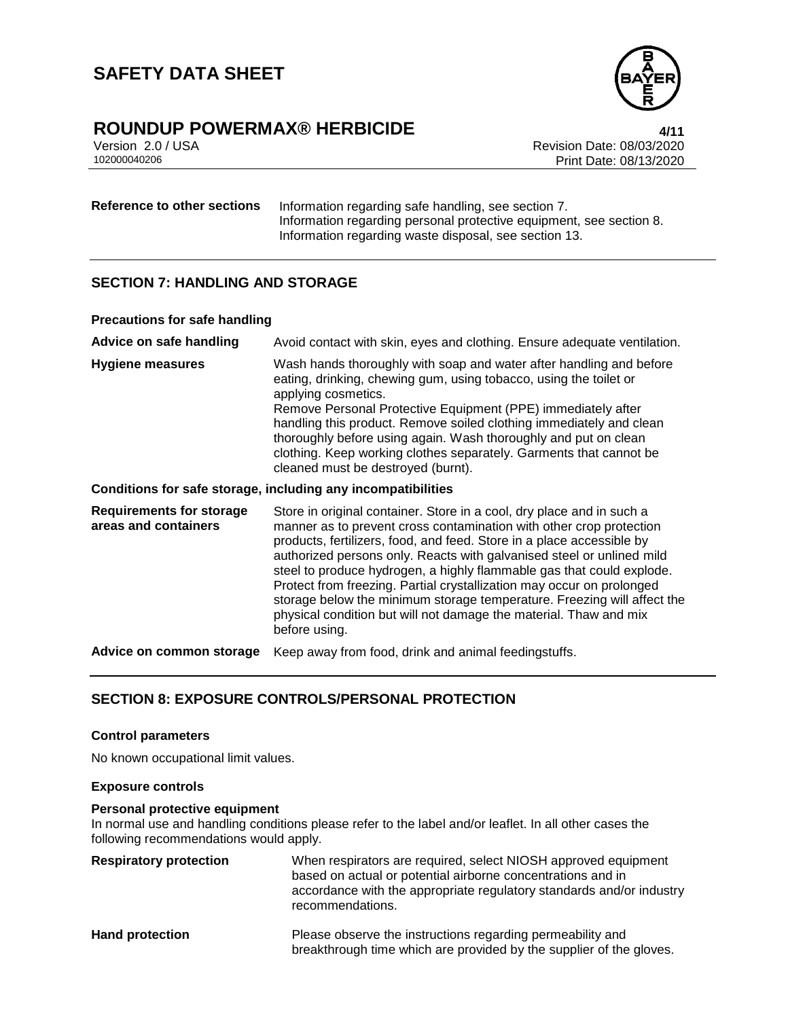

# **ROUNDUP POWERMAX<sup>®</sup> HERBICIDE**<br>Version 2.0 / USA *All 1*<br>Revision Date: 08/03/2020

Version 2.0 / USA Revision Date: 08/03/2020<br>102000040206 Print Date: 08/13/2020 Print Date: 08/13/2020

**Reference to other sections** Information regarding safe handling, see section 7. Information regarding personal protective equipment, see section 8. Information regarding waste disposal, see section 13.

### **SECTION 7: HANDLING AND STORAGE**

#### **Precautions for safe handling**

| Advice on safe handling                                 | Avoid contact with skin, eyes and clothing. Ensure adequate ventilation.                                                                                                                                                                                                                                                                                                                                                                                                                                                                                                                                          |
|---------------------------------------------------------|-------------------------------------------------------------------------------------------------------------------------------------------------------------------------------------------------------------------------------------------------------------------------------------------------------------------------------------------------------------------------------------------------------------------------------------------------------------------------------------------------------------------------------------------------------------------------------------------------------------------|
| <b>Hygiene measures</b>                                 | Wash hands thoroughly with soap and water after handling and before<br>eating, drinking, chewing gum, using tobacco, using the toilet or<br>applying cosmetics.<br>Remove Personal Protective Equipment (PPE) immediately after<br>handling this product. Remove soiled clothing immediately and clean<br>thoroughly before using again. Wash thoroughly and put on clean<br>clothing. Keep working clothes separately. Garments that cannot be<br>cleaned must be destroyed (burnt).                                                                                                                             |
|                                                         | Conditions for safe storage, including any incompatibilities                                                                                                                                                                                                                                                                                                                                                                                                                                                                                                                                                      |
| <b>Requirements for storage</b><br>areas and containers | Store in original container. Store in a cool, dry place and in such a<br>manner as to prevent cross contamination with other crop protection<br>products, fertilizers, food, and feed. Store in a place accessible by<br>authorized persons only. Reacts with galvanised steel or unlined mild<br>steel to produce hydrogen, a highly flammable gas that could explode.<br>Protect from freezing. Partial crystallization may occur on prolonged<br>storage below the minimum storage temperature. Freezing will affect the<br>physical condition but will not damage the material. Thaw and mix<br>before using. |
| Advice on common storage                                | Keep away from food, drink and animal feedingstuffs.                                                                                                                                                                                                                                                                                                                                                                                                                                                                                                                                                              |

## **SECTION 8: EXPOSURE CONTROLS/PERSONAL PROTECTION**

#### **Control parameters**

No known occupational limit values.

#### **Exposure controls**

#### **Personal protective equipment**

In normal use and handling conditions please refer to the label and/or leaflet. In all other cases the following recommendations would apply.

| <b>Respiratory protection</b> | When respirators are required, select NIOSH approved equipment<br>based on actual or potential airborne concentrations and in<br>accordance with the appropriate regulatory standards and/or industry<br>recommendations. |
|-------------------------------|---------------------------------------------------------------------------------------------------------------------------------------------------------------------------------------------------------------------------|
| <b>Hand protection</b>        | Please observe the instructions regarding permeability and<br>breakthrough time which are provided by the supplier of the gloves.                                                                                         |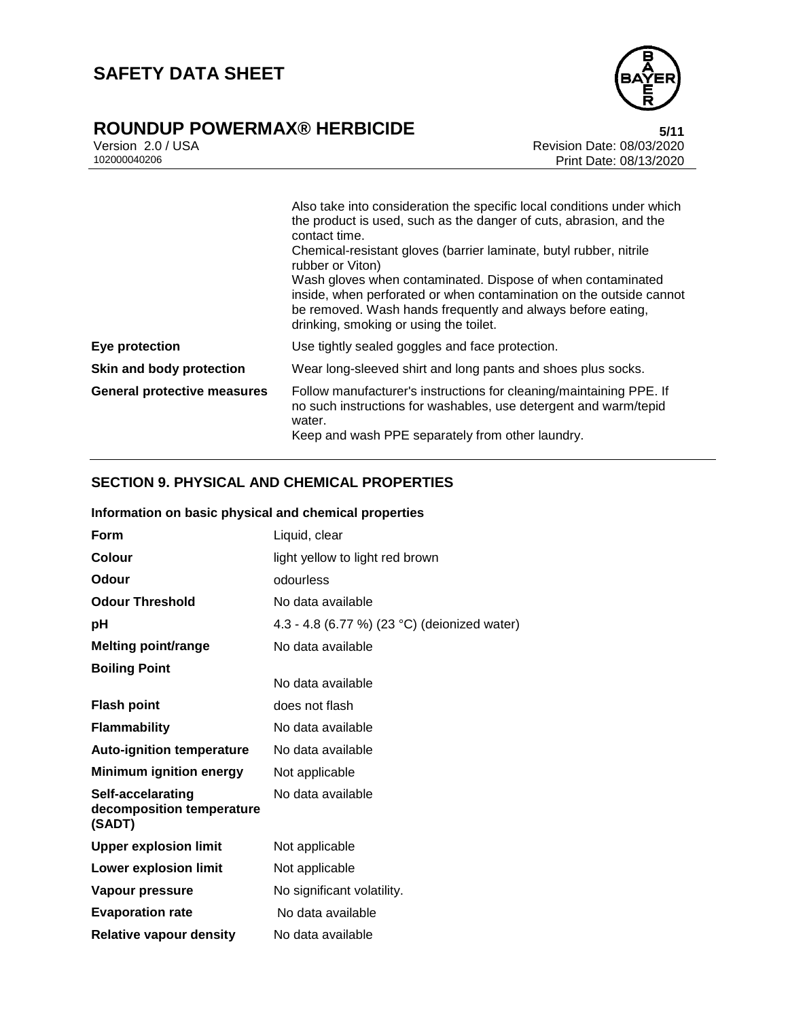

# **ROUNDUP POWERMAX® HERBICIDE**<br>Version 2.0 / USA **bigger and State: 08/03/2020**

Version 2.0 / USA Revision Date: 08/03/2020<br>102000040206 Print Date: 08/13/2020 Print Date: 08/13/2020

|                                    | Also take into consideration the specific local conditions under which<br>the product is used, such as the danger of cuts, abrasion, and the<br>contact time.<br>Chemical-resistant gloves (barrier laminate, butyl rubber, nitrile<br>rubber or Viton) |
|------------------------------------|---------------------------------------------------------------------------------------------------------------------------------------------------------------------------------------------------------------------------------------------------------|
|                                    | Wash gloves when contaminated. Dispose of when contaminated<br>inside, when perforated or when contamination on the outside cannot<br>be removed. Wash hands frequently and always before eating,<br>drinking, smoking or using the toilet.             |
| Eye protection                     | Use tightly sealed goggles and face protection.                                                                                                                                                                                                         |
| Skin and body protection           | Wear long-sleeved shirt and long pants and shoes plus socks.                                                                                                                                                                                            |
| <b>General protective measures</b> | Follow manufacturer's instructions for cleaning/maintaining PPE. If<br>no such instructions for washables, use detergent and warm/tepid<br>water.<br>Keep and wash PPE separately from other laundry.                                                   |

## **SECTION 9. PHYSICAL AND CHEMICAL PROPERTIES**

| Information on basic physical and chemical properties    |                                              |  |
|----------------------------------------------------------|----------------------------------------------|--|
| Form                                                     | Liquid, clear                                |  |
| Colour                                                   | light yellow to light red brown              |  |
| Odour                                                    | odourless                                    |  |
| <b>Odour Threshold</b>                                   | No data available                            |  |
| рH                                                       | 4.3 - 4.8 (6.77 %) (23 °C) (deionized water) |  |
| <b>Melting point/range</b>                               | No data available                            |  |
| <b>Boiling Point</b>                                     | No data available                            |  |
| <b>Flash point</b>                                       | does not flash                               |  |
| <b>Flammability</b>                                      | No data available                            |  |
| <b>Auto-ignition temperature</b>                         | No data available                            |  |
| <b>Minimum ignition energy</b>                           | Not applicable                               |  |
| Self-accelarating<br>decomposition temperature<br>(SADT) | No data available                            |  |
| <b>Upper explosion limit</b>                             | Not applicable                               |  |
| <b>Lower explosion limit</b>                             | Not applicable                               |  |
| Vapour pressure                                          | No significant volatility.                   |  |
| <b>Evaporation rate</b>                                  | No data available                            |  |
| <b>Relative vapour density</b>                           | No data available                            |  |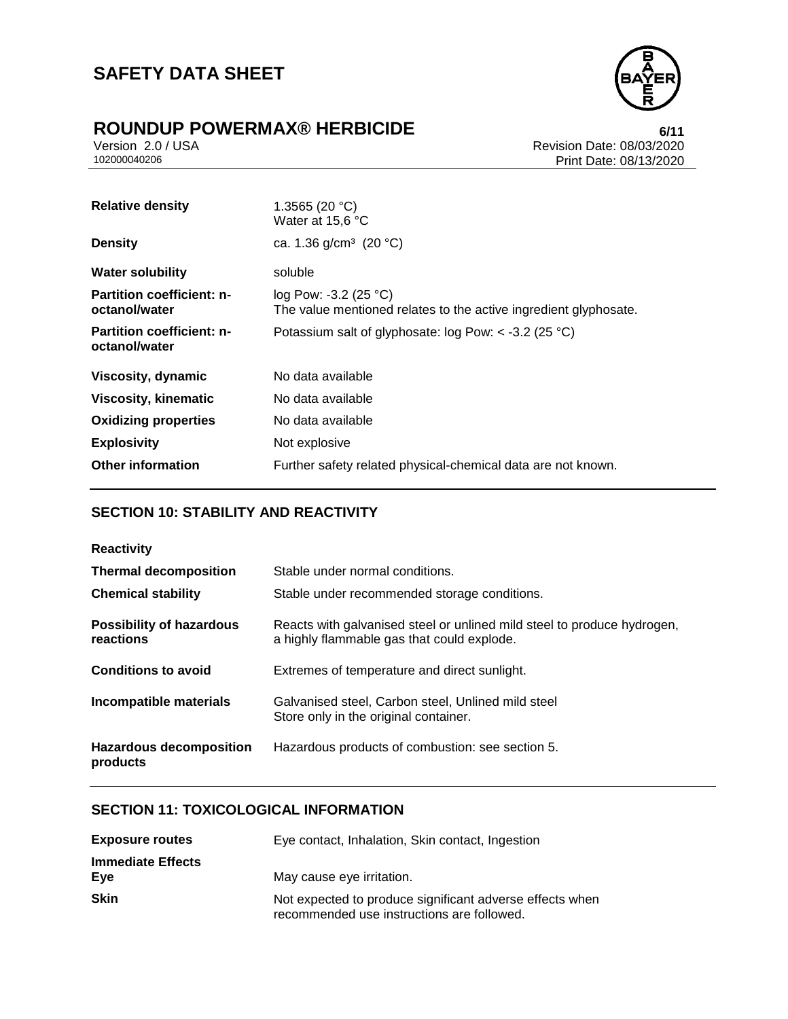

# **ROUNDUP POWERMAX® HERBICIDE**<br>Version 2.0 / USA *CONDURGY USA*

Version 2.0 / USA Revision Date: 08/03/2020<br>102000040206 Print Date: 08/13/2020 Print Date: 08/13/2020

| <b>Relative density</b>                           | 1.3565 (20 °C)<br>Water at 15,6 °C                                                                  |
|---------------------------------------------------|-----------------------------------------------------------------------------------------------------|
| <b>Density</b>                                    | ca. 1.36 g/cm <sup>3</sup> (20 °C)                                                                  |
| <b>Water solubility</b>                           | soluble                                                                                             |
| <b>Partition coefficient: n-</b><br>octanol/water | log Pow: -3.2 (25 $^{\circ}$ C)<br>The value mentioned relates to the active ingredient glyphosate. |
| <b>Partition coefficient: n-</b><br>octanol/water | Potassium salt of glyphosate: $log$ Pow: < -3.2 (25 °C)                                             |
| Viscosity, dynamic                                | No data available                                                                                   |
| <b>Viscosity, kinematic</b>                       | No data available                                                                                   |
| <b>Oxidizing properties</b>                       | No data available                                                                                   |
| <b>Explosivity</b>                                | Not explosive                                                                                       |
| <b>Other information</b>                          | Further safety related physical-chemical data are not known.                                        |

## **SECTION 10: STABILITY AND REACTIVITY**

| <b>Reactivity</b>                            |                                                                                                                       |
|----------------------------------------------|-----------------------------------------------------------------------------------------------------------------------|
| <b>Thermal decomposition</b>                 | Stable under normal conditions.                                                                                       |
| <b>Chemical stability</b>                    | Stable under recommended storage conditions.                                                                          |
| <b>Possibility of hazardous</b><br>reactions | Reacts with galvanised steel or unlined mild steel to produce hydrogen,<br>a highly flammable gas that could explode. |
| <b>Conditions to avoid</b>                   | Extremes of temperature and direct sunlight.                                                                          |
| Incompatible materials                       | Galvanised steel, Carbon steel, Unlined mild steel<br>Store only in the original container.                           |
| <b>Hazardous decomposition</b><br>products   | Hazardous products of combustion: see section 5.                                                                      |

## **SECTION 11: TOXICOLOGICAL INFORMATION**

| <b>Exposure routes</b>          | Eye contact, Inhalation, Skin contact, Ingestion                                                       |
|---------------------------------|--------------------------------------------------------------------------------------------------------|
| <b>Immediate Effects</b><br>Eve | May cause eye irritation.                                                                              |
| <b>Skin</b>                     | Not expected to produce significant adverse effects when<br>recommended use instructions are followed. |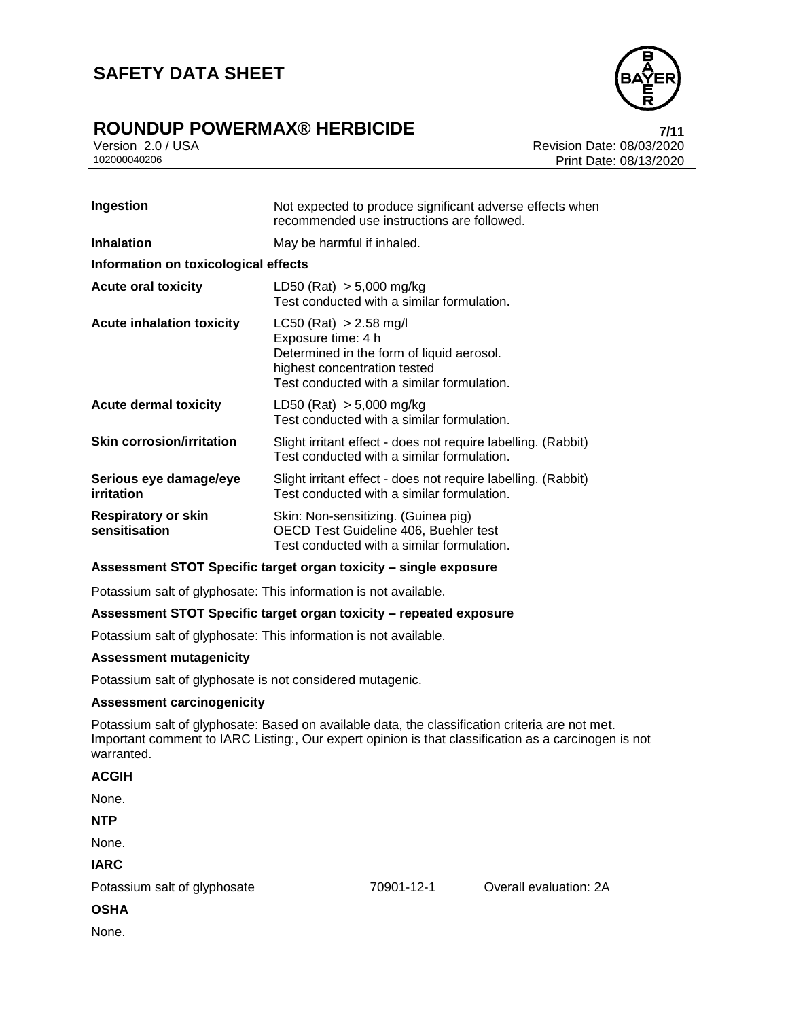## **ROUNDUP POWERMAX® HERBICIDE 7/11**

Version 2.0 / USA Revision Date: 08/03/2020<br>102000040206 Print Date: 08/13/2020 Print Date: 08/13/2020

| Ingestion                                   | Not expected to produce significant adverse effects when<br>recommended use instructions are followed.                                                                    |
|---------------------------------------------|---------------------------------------------------------------------------------------------------------------------------------------------------------------------------|
| <b>Inhalation</b>                           | May be harmful if inhaled.                                                                                                                                                |
| Information on toxicological effects        |                                                                                                                                                                           |
| <b>Acute oral toxicity</b>                  | LD50 (Rat) $> 5,000$ mg/kg<br>Test conducted with a similar formulation.                                                                                                  |
| <b>Acute inhalation toxicity</b>            | $LC50$ (Rat) > 2.58 mg/l<br>Exposure time: 4 h<br>Determined in the form of liquid aerosol.<br>highest concentration tested<br>Test conducted with a similar formulation. |
| <b>Acute dermal toxicity</b>                | LD50 (Rat) $> 5,000$ mg/kg<br>Test conducted with a similar formulation.                                                                                                  |
| <b>Skin corrosion/irritation</b>            | Slight irritant effect - does not require labelling. (Rabbit)<br>Test conducted with a similar formulation.                                                               |
| Serious eye damage/eye<br>irritation        | Slight irritant effect - does not require labelling. (Rabbit)<br>Test conducted with a similar formulation.                                                               |
| <b>Respiratory or skin</b><br>sensitisation | Skin: Non-sensitizing. (Guinea pig)<br>OECD Test Guideline 406, Buehler test<br>Test conducted with a similar formulation.                                                |

#### **Assessment STOT Specific target organ toxicity – single exposure**

Potassium salt of glyphosate: This information is not available.

#### **Assessment STOT Specific target organ toxicity – repeated exposure**

Potassium salt of glyphosate: This information is not available.

#### **Assessment mutagenicity**

Potassium salt of glyphosate is not considered mutagenic.

#### **Assessment carcinogenicity**

Potassium salt of glyphosate: Based on available data, the classification criteria are not met. Important comment to IARC Listing:, Our expert opinion is that classification as a carcinogen is not warranted.

#### **ACGIH**

None.

#### **NTP**

None.

#### **IARC**

Potassium salt of glyphosate 70901-12-1 Overall evaluation: 2A

**OSHA**

None.

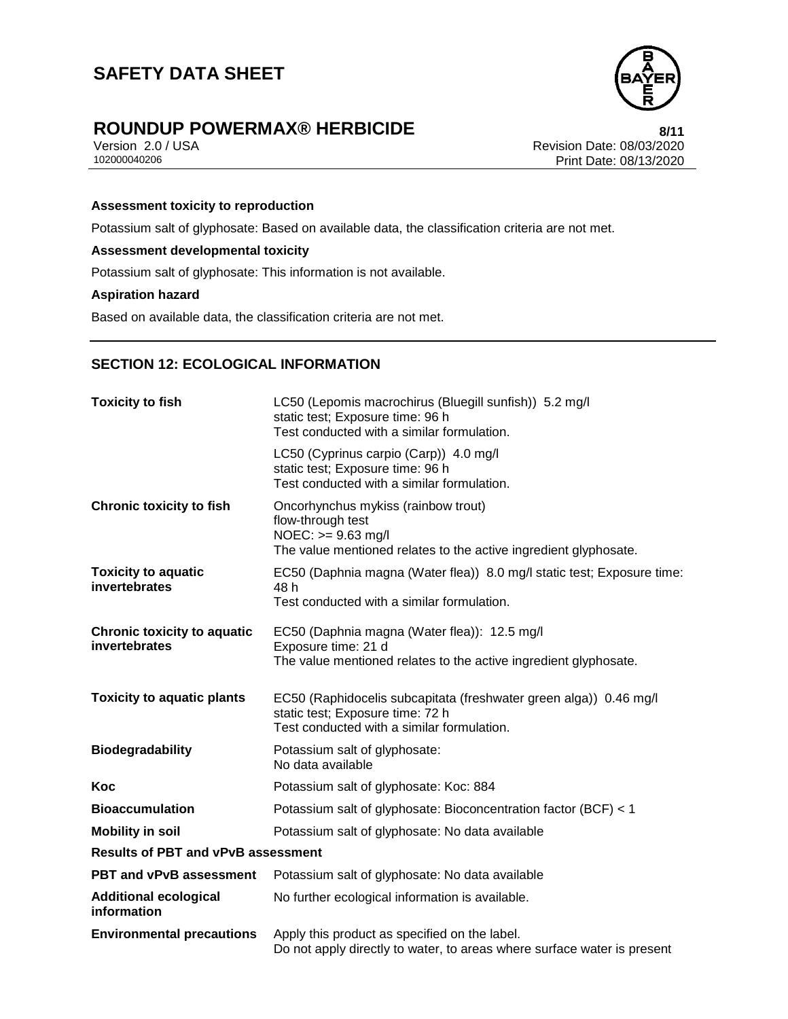

# **ROUNDUP POWERMAX® HERBICIDE**<br>Version 2.0 / USA **Property Access 108/03/2020**

Version 2.0 / USA Revision Date: 08/03/2020<br>102000040206 Print Date: 08/13/2020 Print Date: 08/13/2020

#### **Assessment toxicity to reproduction**

Potassium salt of glyphosate: Based on available data, the classification criteria are not met.

#### **Assessment developmental toxicity**

Potassium salt of glyphosate: This information is not available.

#### **Aspiration hazard**

Based on available data, the classification criteria are not met.

## **SECTION 12: ECOLOGICAL INFORMATION**

| <b>Toxicity to fish</b>                             | LC50 (Lepomis macrochirus (Bluegill sunfish)) 5.2 mg/l<br>static test; Exposure time: 96 h<br>Test conducted with a similar formulation.             |  |
|-----------------------------------------------------|------------------------------------------------------------------------------------------------------------------------------------------------------|--|
|                                                     | LC50 (Cyprinus carpio (Carp)) 4.0 mg/l<br>static test; Exposure time: 96 h<br>Test conducted with a similar formulation.                             |  |
| <b>Chronic toxicity to fish</b>                     | Oncorhynchus mykiss (rainbow trout)<br>flow-through test<br>$NOEC: >= 9.63$ mg/l<br>The value mentioned relates to the active ingredient glyphosate. |  |
| <b>Toxicity to aquatic</b><br>invertebrates         | EC50 (Daphnia magna (Water flea)) 8.0 mg/l static test; Exposure time:<br>48 h<br>Test conducted with a similar formulation.                         |  |
| <b>Chronic toxicity to aquatic</b><br>invertebrates | EC50 (Daphnia magna (Water flea)): 12.5 mg/l<br>Exposure time: 21 d<br>The value mentioned relates to the active ingredient glyphosate.              |  |
| <b>Toxicity to aquatic plants</b>                   | EC50 (Raphidocelis subcapitata (freshwater green alga)) 0.46 mg/l<br>static test; Exposure time: 72 h<br>Test conducted with a similar formulation.  |  |
| <b>Biodegradability</b>                             | Potassium salt of glyphosate:<br>No data available                                                                                                   |  |
| Koc                                                 | Potassium salt of glyphosate: Koc: 884                                                                                                               |  |
| <b>Bioaccumulation</b>                              | Potassium salt of glyphosate: Bioconcentration factor (BCF) < 1                                                                                      |  |
| <b>Mobility in soil</b>                             | Potassium salt of glyphosate: No data available                                                                                                      |  |
| <b>Results of PBT and vPvB assessment</b>           |                                                                                                                                                      |  |
| <b>PBT and vPvB assessment</b>                      | Potassium salt of glyphosate: No data available                                                                                                      |  |
| <b>Additional ecological</b><br>information         | No further ecological information is available.                                                                                                      |  |
| <b>Environmental precautions</b>                    | Apply this product as specified on the label.<br>Do not apply directly to water, to areas where surface water is present                             |  |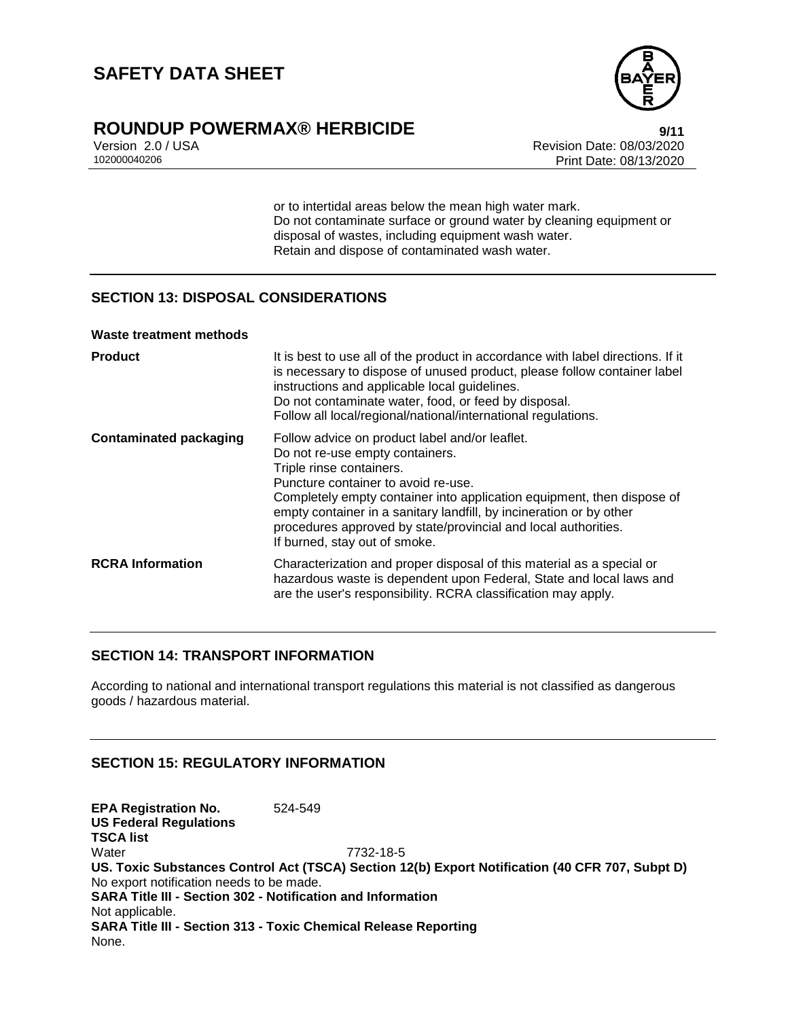

## **ROUNDUP POWERMAX® HERBICIDE 9/11**

Version 2.0 / USA Revision Date: 08/03/2020<br>102000040206 Print Date: 08/13/2020 Print Date: 08/13/2020

> or to intertidal areas below the mean high water mark. Do not contaminate surface or ground water by cleaning equipment or disposal of wastes, including equipment wash water. Retain and dispose of contaminated wash water.

### **SECTION 13: DISPOSAL CONSIDERATIONS**

#### **Waste treatment methods**

| <b>Product</b>                | It is best to use all of the product in accordance with label directions. If it<br>is necessary to dispose of unused product, please follow container label<br>instructions and applicable local guidelines.<br>Do not contaminate water, food, or feed by disposal.<br>Follow all local/regional/national/international regulations.                                                                    |
|-------------------------------|----------------------------------------------------------------------------------------------------------------------------------------------------------------------------------------------------------------------------------------------------------------------------------------------------------------------------------------------------------------------------------------------------------|
| <b>Contaminated packaging</b> | Follow advice on product label and/or leaflet.<br>Do not re-use empty containers.<br>Triple rinse containers.<br>Puncture container to avoid re-use.<br>Completely empty container into application equipment, then dispose of<br>empty container in a sanitary landfill, by incineration or by other<br>procedures approved by state/provincial and local authorities.<br>If burned, stay out of smoke. |
| <b>RCRA Information</b>       | Characterization and proper disposal of this material as a special or<br>hazardous waste is dependent upon Federal, State and local laws and<br>are the user's responsibility. RCRA classification may apply.                                                                                                                                                                                            |

#### **SECTION 14: TRANSPORT INFORMATION**

According to national and international transport regulations this material is not classified as dangerous goods / hazardous material.

## **SECTION 15: REGULATORY INFORMATION**

**EPA Registration No.** 524-549 **US Federal Regulations TSCA list** Water 7732-18-5 **US. Toxic Substances Control Act (TSCA) Section 12(b) Export Notification (40 CFR 707, Subpt D)** No export notification needs to be made. **SARA Title III - Section 302 - Notification and Information** Not applicable. **SARA Title III - Section 313 - Toxic Chemical Release Reporting** None.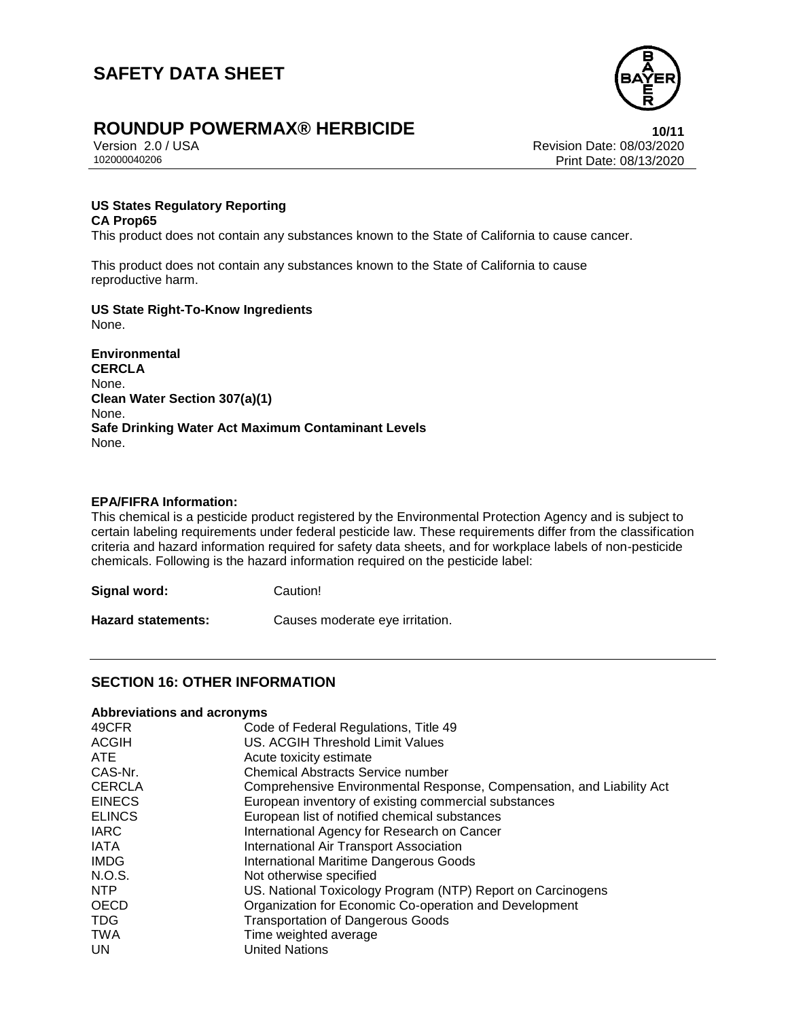

# **ROUNDUP POWERMAX® HERBICIDE**<br>
Version 2.0/USA<br>
Revision Date: 08/03/2020

Version 2.0 / USA Revision Date: 08/03/2020 Print Date: 08/13/2020

#### **US States Regulatory Reporting CA Prop65**

This product does not contain any substances known to the State of California to cause cancer.

This product does not contain any substances known to the State of California to cause reproductive harm.

## **US State Right-To-Know Ingredients**

None.

**Environmental CERCLA** None. **Clean Water Section 307(a)(1)** None. **Safe Drinking Water Act Maximum Contaminant Levels** None.

#### **EPA/FIFRA Information:**

This chemical is a pesticide product registered by the Environmental Protection Agency and is subject to certain labeling requirements under federal pesticide law. These requirements differ from the classification criteria and hazard information required for safety data sheets, and for workplace labels of non-pesticide chemicals. Following is the hazard information required on the pesticide label:

**Signal word:** Caution!

**Hazard statements:** Causes moderate eye irritation.

## **SECTION 16: OTHER INFORMATION**

#### **Abbreviations and acronyms**

| Code of Federal Regulations, Title 49                                 |
|-----------------------------------------------------------------------|
| US. ACGIH Threshold Limit Values                                      |
| Acute toxicity estimate                                               |
| <b>Chemical Abstracts Service number</b>                              |
| Comprehensive Environmental Response, Compensation, and Liability Act |
| European inventory of existing commercial substances                  |
| European list of notified chemical substances                         |
| International Agency for Research on Cancer                           |
| International Air Transport Association                               |
| <b>International Maritime Dangerous Goods</b>                         |
| Not otherwise specified                                               |
| US. National Toxicology Program (NTP) Report on Carcinogens           |
| Organization for Economic Co-operation and Development                |
| <b>Transportation of Dangerous Goods</b>                              |
| Time weighted average                                                 |
| <b>United Nations</b>                                                 |
|                                                                       |